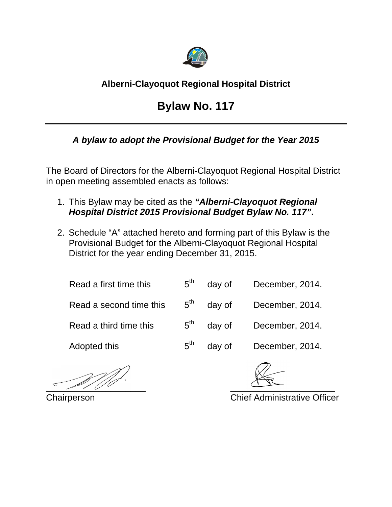

## **Alberni-Clayoquot Regional Hospital District**

## **Bylaw No. 117**

## *A bylaw to adopt the Provisional Budget for the Year 2015*

The Board of Directors for the Alberni-Clayoquot Regional Hospital District in open meeting assembled enacts as follows:

- 1. This Bylaw may be cited as the *"Alberni-Clayoquot Regional Hospital District 2015 Provisional Budget Bylaw No. 117"***.**
- 2. Schedule "A" attached hereto and forming part of this Bylaw is the Provisional Budget for the Alberni-Clayoquot Regional Hospital District for the year ending December 31, 2015.

| Read a first time this  | $5^{\text{th}}$ | day of | December, 2014. |
|-------------------------|-----------------|--------|-----------------|
| Read a second time this | $5^{\text{th}}$ | day of | December, 2014. |
| Read a third time this  | $5^{\text{th}}$ | day of | December, 2014. |
| Adopted this            | $5^{\text{th}}$ | day of | December, 2014. |

 $\sim$  20100  $\sim$  000  $\sim$  000  $\sim$ 

Chairperson Chief Administrative Officer